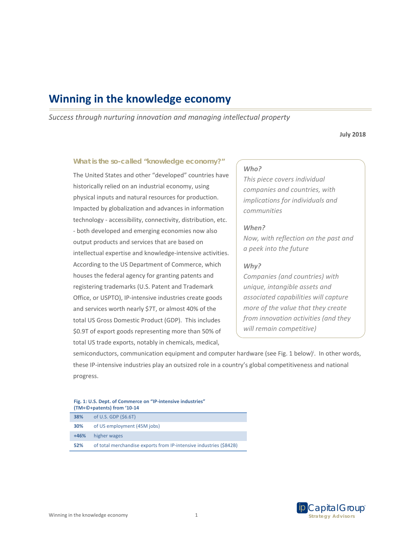# **Winning in the knowledge economy**

*Success through nurturing innovation and managing intellectual property* 

**July 2018** 

## **What is the so-called "knowledge economy?"**

The United States and other "developed" countries have historically relied on an industrial economy, using physical inputs and natural resources for production. Impacted by globalization and advances in information technology ‐ accessibility, connectivity, distribution, etc. ‐ both developed and emerging economies now also output products and services that are based on intellectual expertise and knowledge‐intensive activities. According to the US Department of Commerce, which houses the federal agency for granting patents and registering trademarks (U.S. Patent and Trademark Office, or USPTO), IP‐intensive industries create goods and services worth nearly \$7T, or almost 40% of the total US Gross Domestic Product (GDP). This includes \$0.9T of export goods representing more than 50% of total US trade exports, notably in chemicals, medical,

# *Who?*

*This piece covers individual companies and countries, with implications for individuals and communities* 

## *When?*

*Now, with reflection on the past and a peek into the future* 

### *Why?*

*Companies (and countries) with unique, intangible assets and associated capabilities will capture more of the value that they create from innovation activities (and they will remain competitive)* 

semiconductors, communication equipment and computer hardware (see Fig. 1 below)<sup>i</sup>. In other words, these IP‐intensive industries play an outsized role in a country's global competitiveness and national progress.

| Fig. 1: U.S. Dept. of Commerce on "IP-intensive industries" |
|-------------------------------------------------------------|
| (TM+©+patents) from '10-14                                  |

| 38% | of U.S. GDP $($6.6T)$                                              |
|-----|--------------------------------------------------------------------|
| 30% | of US employment (45M jobs)                                        |
|     | +46% higher wages                                                  |
| 52% | of total merchandise exports from IP-intensive industries (\$842B) |

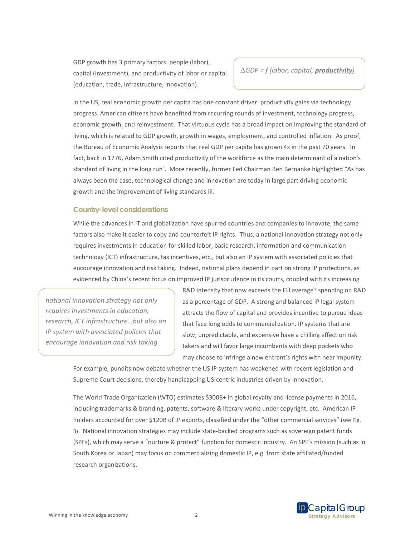GDP growth has 3 primary factors: people (labor), capital (investment), and productivity of labor or capital (education, trade, infrastructure, innovation).

*GDP = f (labor, capital, productivity)* 

In the US, real economic growth per capita has one constant driver: productivity gains via technology progress. American citizens have benefited from recurring rounds of investment, technology progress, economic growth, and reinvestment. That virtuous cycle has a broad impact on improving the standard of living, which is related to GDP growth, growth in wages, employment, and controlled inflation. As proof, the Bureau of Economic Analysis reports that real GDP per capita has grown 4x in the past 70 years. In fact, back in 1776, Adam Smith cited productivity of the workforce as the main determinant of a nation's standard of living in the long run<sup>ii</sup>. More recently, former Fed Chairman Ben Bernanke highlighted "As has always been the case, technological change and innovation are today in large part driving economic growth and the improvement of living standards iii.

# **Country-level considerations**

While the advances in IT and globalization have spurred countries and companies to innovate, the same factors also make it easier to copy and counterfeit IP rights. Thus, a national innovation strategy not only requires investments in education for skilled labor, basic research, information and communication technology (ICT) infrastructure, tax incentives, etc., but also an IP system with associated policies that encourage innovation and risk taking. Indeed, national plans depend in part on strong IP protections, as evidenced by China's recent focus on improved IP jurisprudence in its courts, coupled with its increasing

*national innovation strategy not only requires investments in education, research, ICT infrastructure…but also an IP system with associated policies that encourage innovation and risk taking* 

R&D intensity that now exceeds the EU average<sup>iv</sup> spending on R&D as a percentage of GDP. A strong and balanced IP legal system attracts the flow of capital and provides incentive to pursue ideas that face long odds to commercialization. IP systems that are slow, unpredictable, and expensive have a chilling effect on risk takers and will favor large incumbents with deep pockets who may choose to infringe a new entrant's rights with near impunity.

For example, pundits now debate whether the US IP system has weakened with recent legislation and Supreme Court decisions, thereby handicapping US‐centric industries driven by innovation.

The World Trade Organization (WTO) estimates \$300B+ in global royalty and license payments in 2016, including trademarks & branding, patents, software & literary works under copyright, etc. American IP holders accounted for over \$120B of IP exports, classified under the "other commercial services" (see Fig. 3). National innovation strategies may include state‐backed programs such as sovereign patent funds (SPFs), which may serve a "nurture & protect" function for domestic industry. An SPF's mission (such as in South Korea or Japan) may focus on commercializing domestic IP, e.g. from state affiliated/funded research organizations.

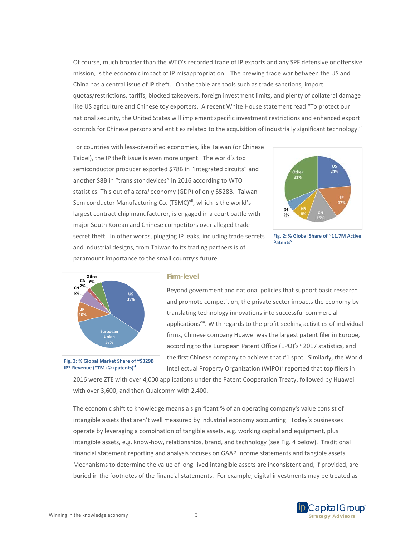Of course, much broader than the WTO's recorded trade of IP exports and any SPF defensive or offensive mission, is the economic impact of IP misappropriation. The brewing trade war between the US and China has a central issue of IP theft. On the table are tools such as trade sanctions, import quotas/restrictions, tariffs, blocked takeovers, foreign investment limits, and plenty of collateral damage like US agriculture and Chinese toy exporters. A recent White House statement read "To protect our national security, the United States will implement specific investment restrictions and enhanced export controls for Chinese persons and entities related to the acquisition of industrially significant technology."

For countries with less-diversified economies, like Taiwan (or Chinese Taipei), the IP theft issue is even more urgent. The world's top semiconductor producer exported \$78B in "integrated circuits" and another \$8B in "transistor devices" in 2016 according to WTO statistics. This out of a *total* economy (GDP) of only \$528B. Taiwan Semiconductor Manufacturing Co. (TSMC)<sup>vii</sup>, which is the world's largest contract chip manufacturer, is engaged in a court battle with major South Korean and Chinese competitors over alleged trade secret theft. In other words, plugging IP leaks, including trade secrets and industrial designs, from Taiwan to its trading partners is of paramount importance to the small country's future.



**Fig. 2: % Global Share of ~11.7M Active Patentsv**



#### **Firm-level**

Beyond government and national policies that support basic research and promote competition, the private sector impacts the economy by translating technology innovations into successful commercial applications<sup>viii</sup>. With regards to the profit-seeking activities of individual firms, Chinese company Huawei was the largest patent filer in Europe, according to the European Patent Office (EPO)'s<sup>ix</sup> 2017 statistics, and the first Chinese company to achieve that #1 spot. Similarly, the World Intellectual Property Organization (WIPO)<sup>x</sup> reported that top filers in

**Fig. 3: % Global Market Share of ~\$329B IP\* Revenue (\*TM+©+patents)vi**

2016 were ZTE with over 4,000 applications under the Patent Cooperation Treaty, followed by Huawei with over 3,600, and then Qualcomm with 2,400.

The economic shift to knowledge means a significant % of an operating company's value consist of intangible assets that aren't well measured by industrial economy accounting. Today's businesses operate by leveraging a combination of tangible assets, e.g. working capital and equipment, plus intangible assets, e.g. know‐how, relationships, brand, and technology (see Fig. 4 below). Traditional financial statement reporting and analysis focuses on GAAP income statements and tangible assets. Mechanisms to determine the value of long‐lived intangible assets are inconsistent and, if provided, are buried in the footnotes of the financial statements. For example, digital investments may be treated as

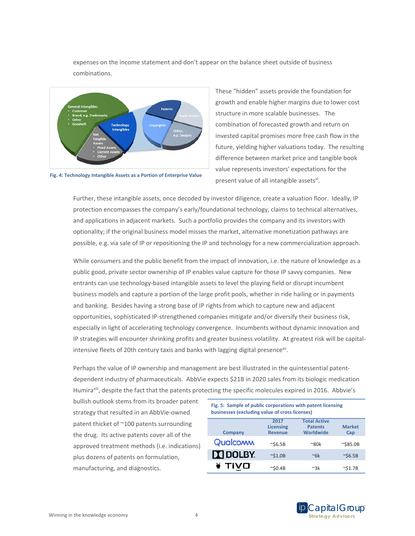expenses on the income statement and don't appear on the balance sheet outside of business combinations.



**Fig. 4: Technology Intangible Assets as a Portion of Enterprise Value** 

These "hidden" assets provide the foundation for growth and enable higher margins due to lower cost structure in more scalable businesses. The combination of forecasted growth and return on invested capital promises more free cash flow in the future, yielding higher valuations today. The resulting difference between market price and tangible book value represents investors' expectations for the present value of all intangible assets<sup>xi</sup>.

Further, these intangible assets, once decoded by investor diligence, create a valuation floor. Ideally, IP protection encompasses the company's early/foundational technology, claims to technical alternatives, and applications in adjacent markets. Such a portfolio provides the company and its investors with optionality; if the original business model misses the market, alternative monetization pathways are possible, e.g. via sale of IP or repositioning the IP and technology for a new commercialization approach.

While consumers and the public benefit from the impact of innovation, i.e. the nature of knowledge as a public good, private sector ownership of IP enables value capture for those IP savvy companies. New entrants can use technology-based intangible assets to level the playing field or disrupt incumbent business models and capture a portion of the large profit pools, whether in ride hailing or in payments and banking. Besides having a strong base of IP rights from which to capture new and adjacent opportunities, sophisticated IP‐strengthened companies mitigate and/or diversify their business risk, especially in light of accelerating technology convergence. Incumbents without dynamic innovation and IP strategies will encounter shrinking profits and greater business volatility. At greatest risk will be capital‐ intensive fleets of 20th century taxis and banks with lagging digital presence<sup>xii</sup>.

Perhaps the value of IP ownership and management are best illustrated in the quintessential patent‐ dependent industry of pharmaceuticals. AbbVie expects \$21B in 2020 sales from its biologic medication Humira<sup>xiii</sup>, despite the fact that the patents protecting the specific molecules expired in 2016. Abbvie's

bullish outlook stems from its broader patent strategy that resulted in an AbbVie‐owned patent thicket of ~100 patents surrounding the drug. Its active patents cover all of the approved treatment methods (i.e. indications) plus dozens of patents on formulation, manufacturing, and diagnostics.

| Fig. 5: Sample of public corporations with patent licensing<br>businesses (excluding value of cross licenses) |                          |                                       |                   |  |  |  |
|---------------------------------------------------------------------------------------------------------------|--------------------------|---------------------------------------|-------------------|--|--|--|
|                                                                                                               | 2017<br><b>Licensing</b> | <b>Total Active</b><br><b>Patents</b> | <b>Market</b>     |  |  |  |
| <b>Company</b>                                                                                                | <b>Revenue</b>           | Worldwide                             | Cap               |  |  |  |
| Qualcoww                                                                                                      | $\sim$ \$6.5B            | $^{\sim}80k$                          | $~\sim$ \$85.0B   |  |  |  |
| <b>N</b> DOLBY.                                                                                               | $\sim$ \$1.0B            | $~\sim$ 6k                            | $\sim$ \$6.5B     |  |  |  |
| ¥ TIVO                                                                                                        | $\sim$ SO.4B             | ∼3k                                   | $~^{\sim}$ \$1.7B |  |  |  |